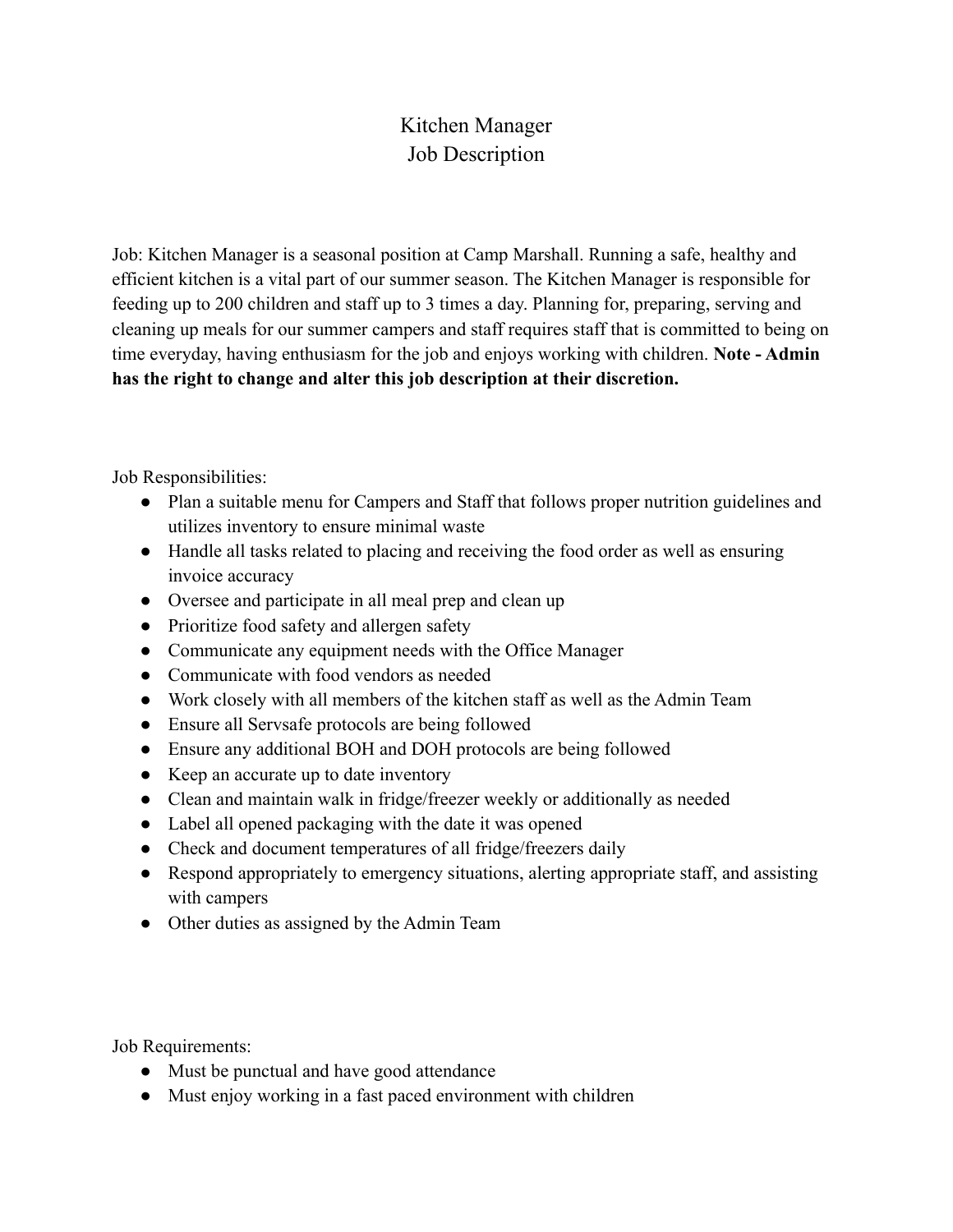## Kitchen Manager Job Description

Job: Kitchen Manager is a seasonal position at Camp Marshall. Running a safe, healthy and efficient kitchen is a vital part of our summer season. The Kitchen Manager is responsible for feeding up to 200 children and staff up to 3 times a day. Planning for, preparing, serving and cleaning up meals for our summer campers and staff requires staff that is committed to being on time everyday, having enthusiasm for the job and enjoys working with children. **Note - Admin has the right to change and alter this job description at their discretion.**

Job Responsibilities:

- Plan a suitable menu for Campers and Staff that follows proper nutrition guidelines and utilizes inventory to ensure minimal waste
- Handle all tasks related to placing and receiving the food order as well as ensuring invoice accuracy
- Oversee and participate in all meal prep and clean up
- Prioritize food safety and allergen safety
- Communicate any equipment needs with the Office Manager
- Communicate with food vendors as needed
- Work closely with all members of the kitchen staff as well as the Admin Team
- Ensure all Servsafe protocols are being followed
- Ensure any additional BOH and DOH protocols are being followed
- Keep an accurate up to date inventory
- Clean and maintain walk in fridge/freezer weekly or additionally as needed
- Label all opened packaging with the date it was opened
- Check and document temperatures of all fridge/freezers daily
- Respond appropriately to emergency situations, alerting appropriate staff, and assisting with campers
- Other duties as assigned by the Admin Team

Job Requirements:

- Must be punctual and have good attendance
- Must enjoy working in a fast paced environment with children